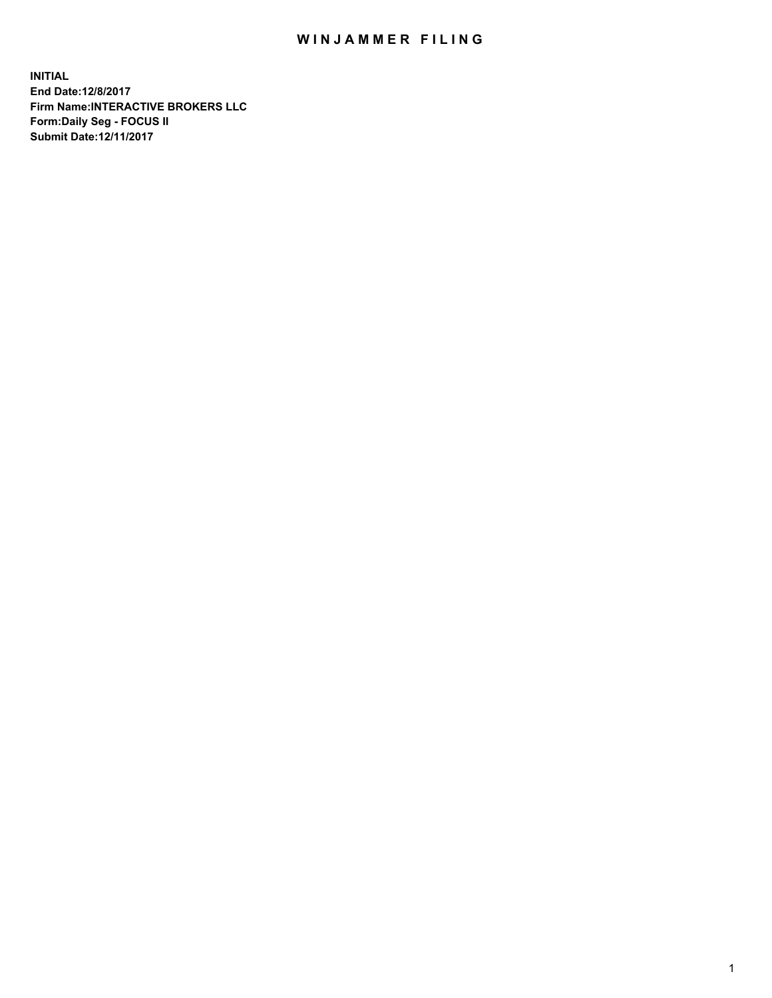## WIN JAMMER FILING

**INITIAL End Date:12/8/2017 Firm Name:INTERACTIVE BROKERS LLC Form:Daily Seg - FOCUS II Submit Date:12/11/2017**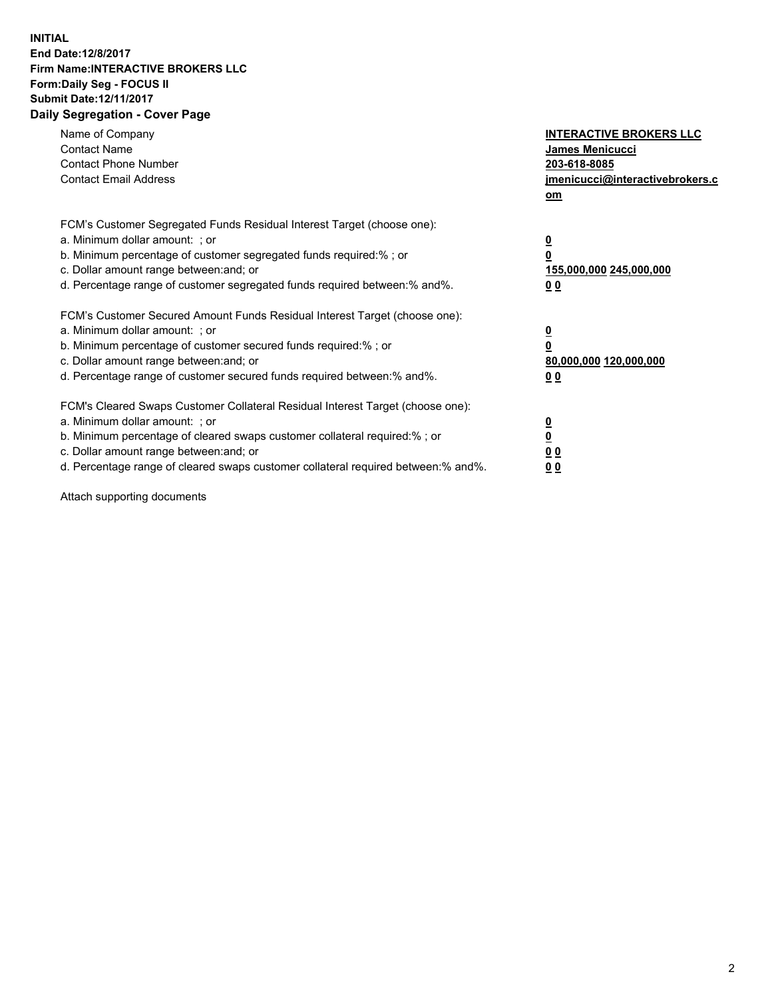## **INITIAL End Date:12/8/2017 Firm Name:INTERACTIVE BROKERS LLC Form:Daily Seg - FOCUS II Submit Date:12/11/2017 Daily Segregation - Cover Page**

| Name of Company<br><b>Contact Name</b><br><b>Contact Phone Number</b><br><b>Contact Email Address</b>                                                                                                                                                                                                                          | <b>INTERACTIVE BROKERS LLC</b><br>James Menicucci<br>203-618-8085<br><u>jmenicucci@interactivebrokers.c</u><br>om |
|--------------------------------------------------------------------------------------------------------------------------------------------------------------------------------------------------------------------------------------------------------------------------------------------------------------------------------|-------------------------------------------------------------------------------------------------------------------|
| FCM's Customer Segregated Funds Residual Interest Target (choose one):<br>a. Minimum dollar amount: ; or<br>b. Minimum percentage of customer segregated funds required:%; or<br>c. Dollar amount range between: and; or<br>d. Percentage range of customer segregated funds required between:% and%.                          | $\overline{\mathbf{0}}$<br>0<br>155,000,000 245,000,000<br>0 <sub>0</sub>                                         |
| FCM's Customer Secured Amount Funds Residual Interest Target (choose one):<br>a. Minimum dollar amount: ; or<br>b. Minimum percentage of customer secured funds required:%; or<br>c. Dollar amount range between: and; or<br>d. Percentage range of customer secured funds required between:% and%.                            | $\overline{\mathbf{0}}$<br>$\overline{\mathbf{0}}$<br>80,000,000 120,000,000<br>00                                |
| FCM's Cleared Swaps Customer Collateral Residual Interest Target (choose one):<br>a. Minimum dollar amount: ; or<br>b. Minimum percentage of cleared swaps customer collateral required:% ; or<br>c. Dollar amount range between: and; or<br>d. Percentage range of cleared swaps customer collateral required between:% and%. | $\overline{\mathbf{0}}$<br>$\overline{\mathbf{0}}$<br>0 <sub>0</sub><br><u>00</u>                                 |

Attach supporting documents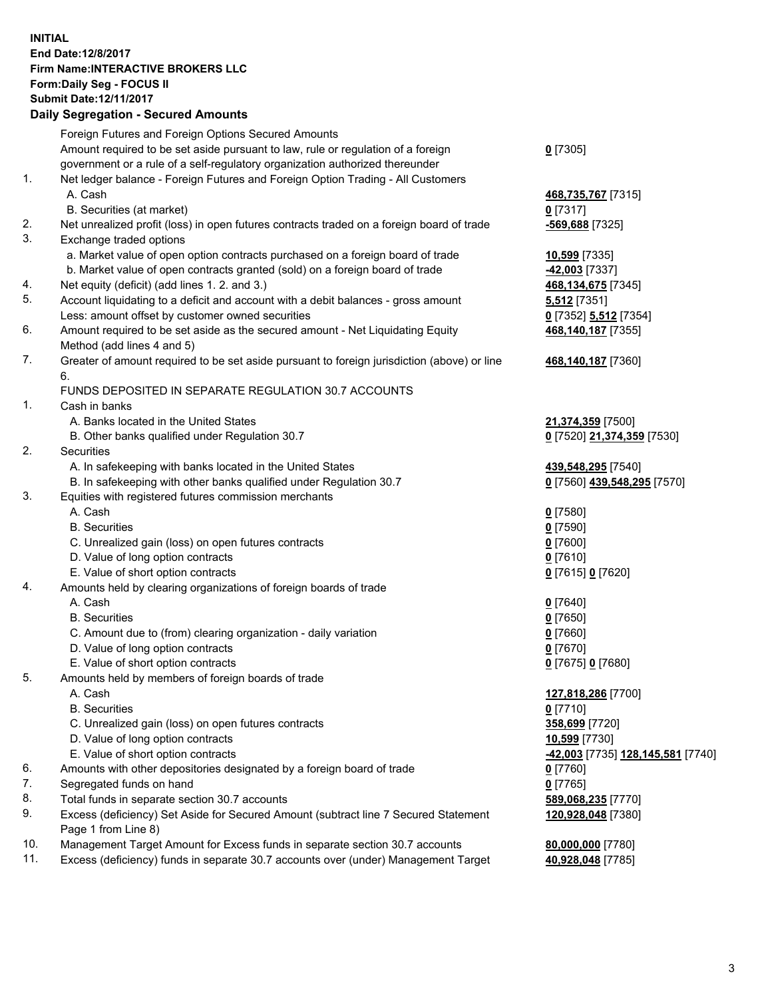## **INITIAL End Date:12/8/2017 Firm Name:INTERACTIVE BROKERS LLC Form:Daily Seg - FOCUS II Submit Date:12/11/2017 Daily Segregation - Secured Amounts**

|     | Daily Segregation - Secured Amounts                                                         |                                                |
|-----|---------------------------------------------------------------------------------------------|------------------------------------------------|
|     | Foreign Futures and Foreign Options Secured Amounts                                         |                                                |
|     | Amount required to be set aside pursuant to law, rule or regulation of a foreign            | $0$ [7305]                                     |
|     | government or a rule of a self-regulatory organization authorized thereunder                |                                                |
| 1.  | Net ledger balance - Foreign Futures and Foreign Option Trading - All Customers             |                                                |
|     | A. Cash                                                                                     | 468,735,767 [7315]                             |
|     | B. Securities (at market)                                                                   | $0$ [7317]                                     |
| 2.  | Net unrealized profit (loss) in open futures contracts traded on a foreign board of trade   | -569,688 [7325]                                |
| 3.  |                                                                                             |                                                |
|     | Exchange traded options                                                                     |                                                |
|     | a. Market value of open option contracts purchased on a foreign board of trade              | 10,599 [7335]                                  |
|     | b. Market value of open contracts granted (sold) on a foreign board of trade                | -42,003 [7337]                                 |
| 4.  | Net equity (deficit) (add lines 1.2. and 3.)                                                | 468,134,675 [7345]                             |
| 5.  | Account liquidating to a deficit and account with a debit balances - gross amount           | 5,512 [7351]                                   |
|     | Less: amount offset by customer owned securities                                            | 0 [7352] 5,512 [7354]                          |
| 6.  | Amount required to be set aside as the secured amount - Net Liquidating Equity              | 468,140,187 [7355]                             |
|     | Method (add lines 4 and 5)                                                                  |                                                |
| 7.  | Greater of amount required to be set aside pursuant to foreign jurisdiction (above) or line | 468,140,187 [7360]                             |
|     | 6.                                                                                          |                                                |
|     | FUNDS DEPOSITED IN SEPARATE REGULATION 30.7 ACCOUNTS                                        |                                                |
| 1.  | Cash in banks                                                                               |                                                |
|     | A. Banks located in the United States                                                       | 21,374,359 [7500]                              |
|     | B. Other banks qualified under Regulation 30.7                                              | 0 [7520] 21,374,359 [7530]                     |
| 2.  | Securities                                                                                  |                                                |
|     | A. In safekeeping with banks located in the United States                                   | 439,548,295 [7540]                             |
|     | B. In safekeeping with other banks qualified under Regulation 30.7                          | 0 [7560] 439,548,295 [7570]                    |
| 3.  | Equities with registered futures commission merchants                                       |                                                |
|     | A. Cash                                                                                     | $0$ [7580]                                     |
|     | <b>B.</b> Securities                                                                        | $0$ [7590]                                     |
|     | C. Unrealized gain (loss) on open futures contracts                                         | $0$ [7600]                                     |
|     | D. Value of long option contracts                                                           | $0$ [7610]                                     |
|     | E. Value of short option contracts                                                          | 0 [7615] 0 [7620]                              |
| 4.  | Amounts held by clearing organizations of foreign boards of trade                           |                                                |
|     | A. Cash                                                                                     | $0$ [7640]                                     |
|     | <b>B.</b> Securities                                                                        | $0$ [7650]                                     |
|     | C. Amount due to (from) clearing organization - daily variation                             | $0$ [7660]                                     |
|     | D. Value of long option contracts                                                           | $0$ [7670]                                     |
|     | E. Value of short option contracts                                                          |                                                |
| 5.  |                                                                                             | 0 [7675] 0 [7680]                              |
|     | Amounts held by members of foreign boards of trade                                          |                                                |
|     | A. Cash                                                                                     | 127,818,286 [7700]                             |
|     | <b>B.</b> Securities                                                                        | $0$ [7710]                                     |
|     | C. Unrealized gain (loss) on open futures contracts                                         | 358,699 [7720]                                 |
|     | D. Value of long option contracts                                                           | 10,599 [7730]                                  |
|     | E. Value of short option contracts                                                          | <mark>-42,003</mark> [7735] 128,145,581 [7740] |
| 6.  | Amounts with other depositories designated by a foreign board of trade                      | 0 [7760]                                       |
| 7.  | Segregated funds on hand                                                                    | $0$ [7765]                                     |
| 8.  | Total funds in separate section 30.7 accounts                                               | 589,068,235 [7770]                             |
| 9.  | Excess (deficiency) Set Aside for Secured Amount (subtract line 7 Secured Statement         | 120,928,048 [7380]                             |
|     | Page 1 from Line 8)                                                                         |                                                |
| 10. | Management Target Amount for Excess funds in separate section 30.7 accounts                 | 80,000,000 [7780]                              |
| 11. | Excess (deficiency) funds in separate 30.7 accounts over (under) Management Target          | 40,928,048 [7785]                              |
|     |                                                                                             |                                                |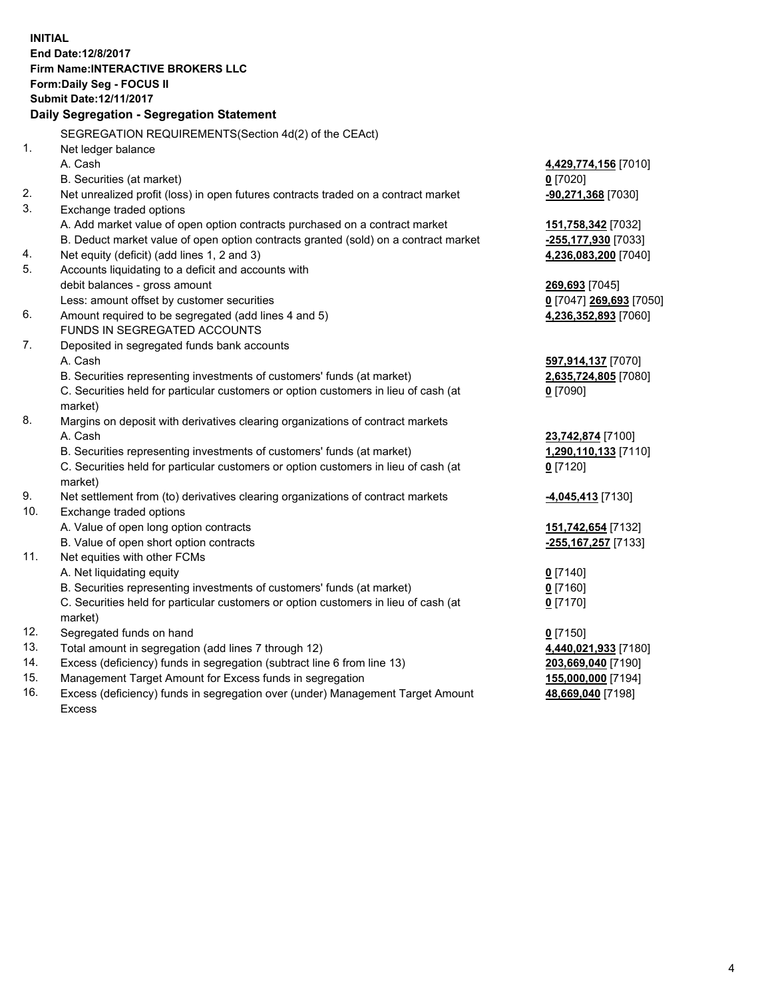**INITIAL End Date:12/8/2017 Firm Name:INTERACTIVE BROKERS LLC Form:Daily Seg - FOCUS II Submit Date:12/11/2017 Daily Segregation - Segregation Statement** SEGREGATION REQUIREMENTS(Section 4d(2) of the CEAct) 1. Net ledger balance A. Cash **4,429,774,156** [7010] B. Securities (at market) **0** [7020] 2. Net unrealized profit (loss) in open futures contracts traded on a contract market **-90,271,368** [7030] 3. Exchange traded options A. Add market value of open option contracts purchased on a contract market **151,758,342** [7032] B. Deduct market value of open option contracts granted (sold) on a contract market **-255,177,930** [7033] 4. Net equity (deficit) (add lines 1, 2 and 3) **4,236,083,200** [7040] 5. Accounts liquidating to a deficit and accounts with debit balances - gross amount **269,693** [7045] Less: amount offset by customer securities **0** [7047] **269,693** [7050] 6. Amount required to be segregated (add lines 4 and 5) **4,236,352,893** [7060] FUNDS IN SEGREGATED ACCOUNTS 7. Deposited in segregated funds bank accounts A. Cash **597,914,137** [7070] B. Securities representing investments of customers' funds (at market) **2,635,724,805** [7080] C. Securities held for particular customers or option customers in lieu of cash (at market) **0** [7090] 8. Margins on deposit with derivatives clearing organizations of contract markets A. Cash **23,742,874** [7100] B. Securities representing investments of customers' funds (at market) **1,290,110,133** [7110] C. Securities held for particular customers or option customers in lieu of cash (at market) **0** [7120] 9. Net settlement from (to) derivatives clearing organizations of contract markets **-4,045,413** [7130] 10. Exchange traded options A. Value of open long option contracts **151,742,654** [7132] B. Value of open short option contracts **-255,167,257** [7133] 11. Net equities with other FCMs A. Net liquidating equity **0** [7140] B. Securities representing investments of customers' funds (at market) **0** [7160] C. Securities held for particular customers or option customers in lieu of cash (at market) **0** [7170] 12. Segregated funds on hand **0** [7150] 13. Total amount in segregation (add lines 7 through 12) **4,440,021,933** [7180] 14. Excess (deficiency) funds in segregation (subtract line 6 from line 13) **203,669,040** [7190] 15. Management Target Amount for Excess funds in segregation **155,000,000** [7194]

16. Excess (deficiency) funds in segregation over (under) Management Target Amount Excess

**48,669,040** [7198]